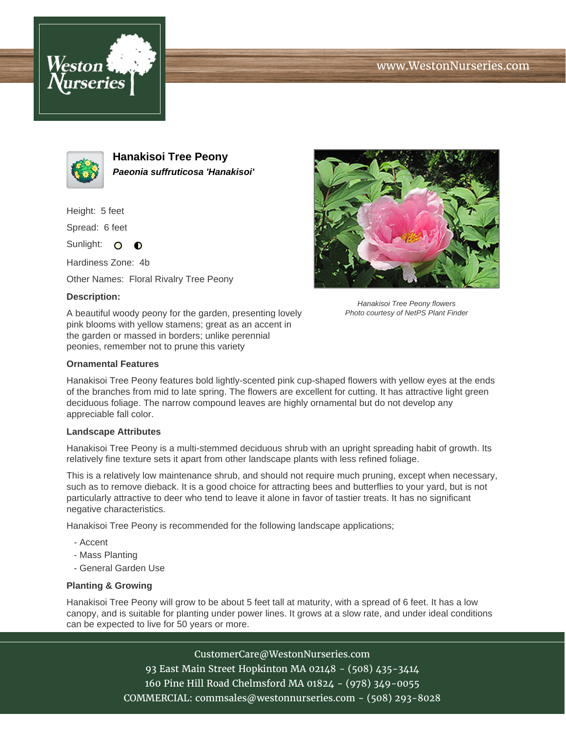





**Hanakisoi Tree Peony Paeonia suffruticosa 'Hanakisoi'**

Height: 5 feet

Spread: 6 feet

Sunlight: O  $\bullet$ 

Hardiness Zone: 4b

Other Names: Floral Rivalry Tree Peony

## **Description:**

A beautiful woody peony for the garden, presenting lovely pink blooms with yellow stamens; great as an accent in the garden or massed in borders; unlike perennial peonies, remember not to prune this variety



Hanakisoi Tree Peony flowers Photo courtesy of NetPS Plant Finder

## **Ornamental Features**

Hanakisoi Tree Peony features bold lightly-scented pink cup-shaped flowers with yellow eyes at the ends of the branches from mid to late spring. The flowers are excellent for cutting. It has attractive light green deciduous foliage. The narrow compound leaves are highly ornamental but do not develop any appreciable fall color.

## **Landscape Attributes**

Hanakisoi Tree Peony is a multi-stemmed deciduous shrub with an upright spreading habit of growth. Its relatively fine texture sets it apart from other landscape plants with less refined foliage.

This is a relatively low maintenance shrub, and should not require much pruning, except when necessary, such as to remove dieback. It is a good choice for attracting bees and butterflies to your yard, but is not particularly attractive to deer who tend to leave it alone in favor of tastier treats. It has no significant negative characteristics.

Hanakisoi Tree Peony is recommended for the following landscape applications;

- Accent
- Mass Planting
- General Garden Use

## **Planting & Growing**

Hanakisoi Tree Peony will grow to be about 5 feet tall at maturity, with a spread of 6 feet. It has a low canopy, and is suitable for planting under power lines. It grows at a slow rate, and under ideal conditions can be expected to live for 50 years or more.

> CustomerCare@WestonNurseries.com 93 East Main Street Hopkinton MA 02148 - (508) 435-3414 160 Pine Hill Road Chelmsford MA 01824 - (978) 349-0055 COMMERCIAL: commsales@westonnurseries.com - (508) 293-8028